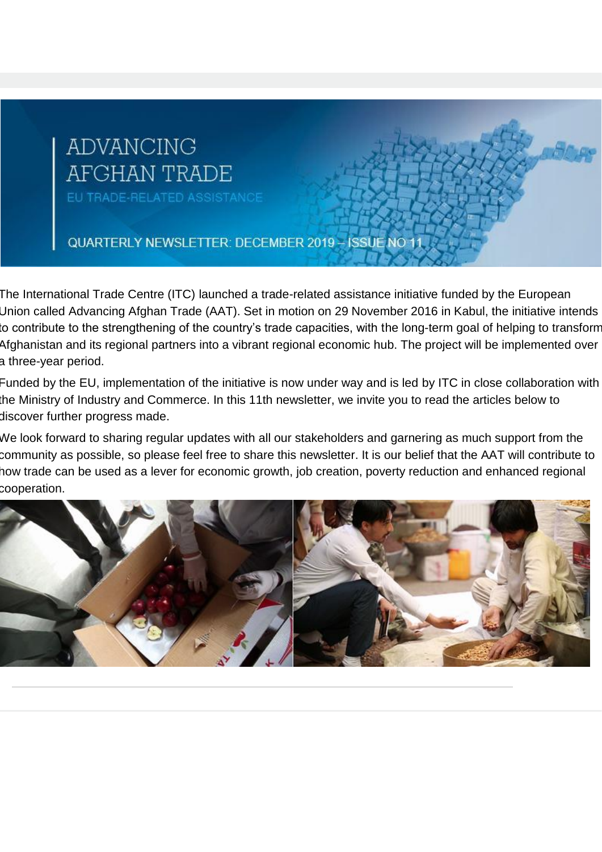# **ADVANCING AFGHAN TRADE**

EU TRADE-RELATED ASSISTANCE

QUARTERLY NEWSLETTER: DECEMBER 2019 - ISSUE NO 11

The International Trade Centre (ITC) launched a trade-related assistance initiative funded by the European Union called Advancing Afghan Trade (AAT). Set in motion on 29 November 2016 in Kabul, the initiative intends to contribute to the strengthening of the country's trade capacities, with the long-term goal of helping to transform Afghanistan and its regional partners into a vibrant regional economic hub. The project will be implemented over a three-year period.

Funded by the EU, implementation of the initiative is now under way and is led by ITC in close collaboration with the Ministry of Industry and Commerce. In this 11th newsletter, we invite you to read the articles below to discover further progress made.

We look forward to sharing regular updates with all our stakeholders and garnering as much support from the community as possible, so please feel free to share this newsletter. It is our belief that the AAT will contribute to how trade can be used as a lever for economic growth, job creation, poverty reduction and enhanced regional cooperation.

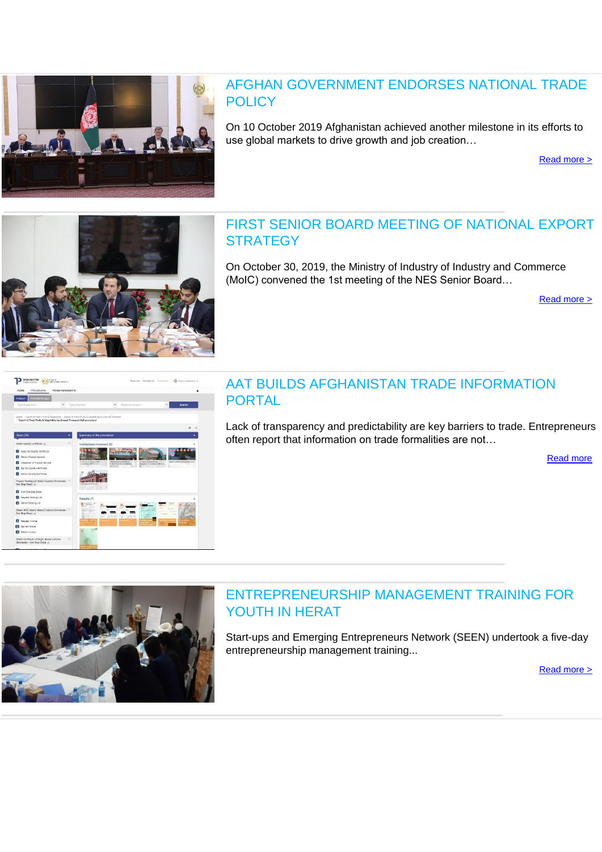

#### AFGHAN GOVERNMENT ENDORSES NATIONAL TRADE **POLICY**

On 10 October 2019 Afghanistan achieved another milestone in its efforts to use global markets to drive growth and job creation…

[Read more >](http://eye.maillink.intracen.org/c?p=xBDQq9C-0L3Q39CP0LBBE9CnbNDQc_84JwLEEPLQu0NoCNDeQWvQuObQqe_Qyvby8tloaHR0cHM6Ly9lZWFzLmV1cm9wYS5ldS9kZWxlZ2F0aW9ucy9hZmdoYW5pc3Rhbi82ODk4My9hZmdoYW4tZ292ZXJubWVudC1lbmRvcnNlcy1uYXRpb25hbC10cmFkZS1wb2xpY3lfZW64NWE3MDNlNDdiODViNTM2YTlmNGJmNjA4xBD3HNCM0IjQsiNKddCrUGfQj1bQxfPQgLlleWUubWFpbGxpbmsuaW50cmFjZW4ub3JnxBTQ29DG0IPQodCCGtCxZWj3eQzQ12hWYxnQiSJf)



# FIRST SENIOR BOARD MEETING OF NATIONAL EXPORT **STRATEGY**

On October 30, 2019, the Ministry of Industry of Industry and Commerce (MoIC) convened the 1st meeting of the NES Senior Board…

[Read more >](http://eye.maillink.intracen.org/c?p=xBDQq9C-0L3Q39CP0LBBE9CnbNDQc_84JwLEENCBGNCneirQtk3QsdCc0LrQrDLQjf9xZtlDaHR0cDovL3d3dy5pbnRyYWNlbi5vcmcvdXBsb2FkZWRGaWxlcy9pbnRyYWNlbm9yZy9CbG9ncy9BQVQvTkVTLnBkZrg1YTcwM2U0N2I4NWI1MzZhOWY0YmY2MDjEEPcc0IzQiNCyI0p10KtQZ9CPVtDF89CAuWV5ZS5tYWlsbGluay5pbnRyYWNlbi5vcmfEFNDb0MbQg9Ch0IIa0LFlaPd5DNDXaFZjGdCJIl8)

| HOME<br>PROCFOURES                                                        | TRADE AGREEMENTS<br>۵                                                                                                                                                                                      |  |
|---------------------------------------------------------------------------|------------------------------------------------------------------------------------------------------------------------------------------------------------------------------------------------------------|--|
| <b>Procedures type</b><br>Product                                         |                                                                                                                                                                                                            |  |
| Type of pperation                                                         | Tuze of product<br>Means of transport<br>Search<br>٠<br>٠<br>٠                                                                                                                                             |  |
| Export of Fresh Fruits & Vegetables by Ground Transport (full procedure)  | Export - Export of Fresh Fruits & Vegetables - Export of Fresh Fruits & Vegetables by Ground Transport                                                                                                     |  |
|                                                                           | $\ddot{\sigma}$ <                                                                                                                                                                                          |  |
| Steps (26)                                                                | Summary of the procedure                                                                                                                                                                                   |  |
| Obtain Quality Certificate (1)                                            | Institutions involved (5)                                                                                                                                                                                  |  |
| Apply for Quality Certificate                                             |                                                                                                                                                                                                            |  |
| <b>PT</b> Obtain Product Sample                                           |                                                                                                                                                                                                            |  |
| Inspection of Product Sample                                              | Katul Customi Dinestanzia in di<br>Ministry of Industry and<br>Atchasional Chamber of<br>Miniary of Agriculture.<br>Convenient (MOVO in SI<br>Intigation, IR Liotuback (MAIL) in<br>Connexcy per aveniment |  |
| Pay for Quality Certificate                                               | <b>IACCI: Jv A':</b>                                                                                                                                                                                       |  |
| <b>Ca</b> Optain Quality Certificate                                      |                                                                                                                                                                                                            |  |
| Prepare Packing List (Kabul Customs Directorate - ^<br>One Stop Shop) (3) | DA Afghanistan Bank                                                                                                                                                                                        |  |
| Valt One Stop Shop                                                        |                                                                                                                                                                                                            |  |
| Request Packing List<br>7                                                 | Results (7)                                                                                                                                                                                                |  |
| Cotain Packing List                                                       |                                                                                                                                                                                                            |  |
| Obtain ACCI Invoice (Kabul Customs Directorate - ^<br>One Stop Shopi (3)  | <b>SEX</b><br>Ħ<br><b>Simple</b><br>Haster Links<br>$\pm 1$<br><b>HOTEL</b>                                                                                                                                |  |
| <b>Request Invoice</b>                                                    | 21-10-                                                                                                                                                                                                     |  |
| 10 Pay for Invoice                                                        |                                                                                                                                                                                                            |  |
| Cotain invoice                                                            | $\overline{\phantom{a}}$                                                                                                                                                                                   |  |
| Obtain Certificate of Origin (Kabul Customs,                              | $\sim$                                                                                                                                                                                                     |  |

#### AAT BUILDS AFGHANISTAN TRADE INFORMATION PORTAL

Lack of transparency and predictability are key barriers to trade. Entrepreneurs often report that information on trade formalities are not…

[Read more](http://eye.maillink.intracen.org/c?p=xBDQq9C-0L3Q39CP0LBBE9CnbNDQc_84JwLEECfQjkBaLOZCZNCmG-VGfzxiXNlJCWh0dHA6Ly93d3cuaW50cmFjZW4ub3JnL3VwbG9hZGVkRmlsZXMvaW50cmFjZW5vcmcvQmxvZ3MvQUFUL3RpcG9ydGFsLnBkZrg1YTcwM2U0N2I4NWI1MzZhOWY0YmY2MDjEEPcc0IzQiNCyI0p10KtQZ9CPVtDF89CAuWV5ZS5tYWlsbGluay5pbnRyYWNlbi5vcmfEFNDb0MbQg9Ch0IIa0LFlaPd5DNDXaFZjGdCJIl8)



## ENTREPRENEURSHIP MANAGEMENT TRAINING FOR YOUTH IN HERAT

Start-ups and Emerging Entrepreneurs Network (SEEN) undertook a five-day entrepreneurship management training...

[Read more >](http://eye.maillink.intracen.org/c?p=xBDQq9C-0L3Q39CP0LBBE9CnbNDQc_84JwLEECvQ2yDQpdDN0LJM0KfQug_QlgNoddDJ0N3ZRGh0dHA6Ly93d3cuaW50cmFjZW4ub3JnL3VwbG9hZGVkRmlsZXMvaW50cmFjZW5vcmcvQmxvZ3MvQUFUL1NFRU4ucGRmuDVhNzAzZTQ3Yjg1YjUzNmE5ZjRiZjYwOMQQ9xzQjNCI0LIjSnXQq1Bn0I9W0MXz0IC5ZXllLm1haWxsaW5rLmludHJhY2VuLm9yZ8QU0NvQxtCD0KHQghrQsWVo93kM0NdoVmMZ0IkiXw)